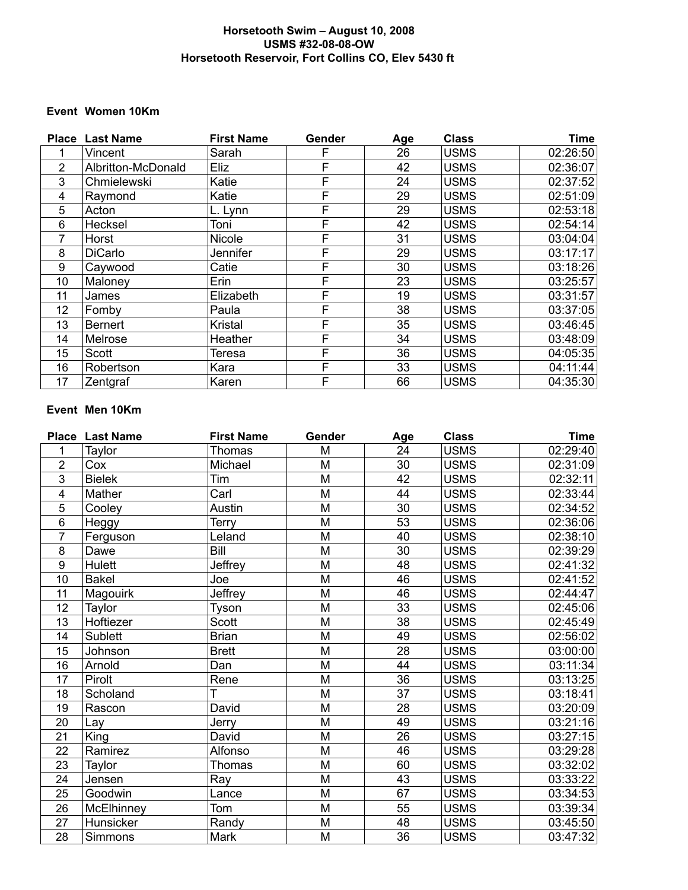#### **Horsetooth Swim – August 10, 2008 USMS #32-08-08-OW Horsetooth Reservoir, Fort Collins CO, Elev 5430 ft**

#### **Event Women 10Km**

|                | <b>Place Last Name</b> | <b>First Name</b> | Gender | Age | <b>Class</b> | <b>Time</b> |
|----------------|------------------------|-------------------|--------|-----|--------------|-------------|
|                | Vincent                | Sarah             | F      | 26  | <b>USMS</b>  | 02:26:50    |
| $\overline{2}$ | Albritton-McDonald     | Eliz              | F      | 42  | <b>USMS</b>  | 02:36:07    |
| 3              | Chmielewski            | Katie             | F      | 24  | <b>USMS</b>  | 02:37:52    |
| 4              | Raymond                | Katie             | F      | 29  | <b>USMS</b>  | 02:51:09    |
| 5              | Acton                  | L. Lynn           | F      | 29  | <b>USMS</b>  | 02:53:18    |
| 6              | Hecksel                | Toni              | F      | 42  | <b>USMS</b>  | 02:54:14    |
| 7              | Horst                  | Nicole            | F      | 31  | <b>USMS</b>  | 03:04:04    |
| 8              | <b>DiCarlo</b>         | Jennifer          | F      | 29  | <b>USMS</b>  | 03:17:17    |
| 9              | Caywood                | Catie             | F      | 30  | <b>USMS</b>  | 03:18:26    |
| 10             | Maloney                | Erin              | F      | 23  | <b>USMS</b>  | 03:25:57    |
| 11             | James                  | Elizabeth         | F      | 19  | <b>USMS</b>  | 03:31:57    |
| 12             | Fomby                  | Paula             | F      | 38  | <b>USMS</b>  | 03:37:05    |
| 13             | <b>Bernert</b>         | <b>Kristal</b>    | F      | 35  | <b>USMS</b>  | 03:46:45    |
| 14             | Melrose                | Heather           | F      | 34  | <b>USMS</b>  | 03:48:09    |
| 15             | Scott                  | Teresa            | F      | 36  | <b>USMS</b>  | 04:05:35    |
| 16             | Robertson              | Kara              | F      | 33  | <b>USMS</b>  | 04:11:44    |
| 17             | Zentgraf               | Karen             | F      | 66  | <b>USMS</b>  | 04:35:30    |

# **Event Men 10Km**

| <b>Place</b>    | <b>Last Name</b> | <b>First Name</b> | Gender | Age | <b>Class</b> | <b>Time</b> |
|-----------------|------------------|-------------------|--------|-----|--------------|-------------|
| 1               | Taylor           | <b>Thomas</b>     | M      | 24  | <b>USMS</b>  | 02:29:40    |
| $\overline{2}$  | Cox              | Michael           | M      | 30  | <b>USMS</b>  | 02:31:09    |
| 3               | <b>Bielek</b>    | Tim               | M      | 42  | <b>USMS</b>  | 02:32:11    |
| 4               | Mather           | Carl              | M      | 44  | <b>USMS</b>  | 02:33:44    |
| 5               | Cooley           | Austin            | M      | 30  | <b>USMS</b>  | 02:34:52    |
| $6\phantom{1}6$ | Heggy            | Terry             | M      | 53  | <b>USMS</b>  | 02:36:06    |
| 7               | Ferguson         | Leland            | M      | 40  | <b>USMS</b>  | 02:38:10    |
| 8               | Dawe             | Bill              | M      | 30  | <b>USMS</b>  | 02:39:29    |
| 9               | Hulett           | Jeffrey           | M      | 48  | <b>USMS</b>  | 02:41:32    |
| 10              | <b>Bakel</b>     | Joe               | M      | 46  | <b>USMS</b>  | 02:41:52    |
| 11              | Magouirk         | Jeffrey           | M      | 46  | <b>USMS</b>  | 02:44:47    |
| 12              | Taylor           | <b>Tyson</b>      | M      | 33  | <b>USMS</b>  | 02:45:06    |
| 13              | Hoftiezer        | Scott             | M      | 38  | <b>USMS</b>  | 02:45:49    |
| 14              | <b>Sublett</b>   | <b>Brian</b>      | M      | 49  | <b>USMS</b>  | 02:56:02    |
| 15              | Johnson          | <b>Brett</b>      | M      | 28  | <b>USMS</b>  | 03:00:00    |
| 16              | Arnold           | Dan               | M      | 44  | <b>USMS</b>  | 03:11:34    |
| 17              | Pirolt           | Rene              | M      | 36  | <b>USMS</b>  | 03:13:25    |
| 18              | Scholand         | T                 | M      | 37  | <b>USMS</b>  | 03:18:41    |
| 19              | Rascon           | David             | M      | 28  | <b>USMS</b>  | 03:20:09    |
| 20              | Lay              | Jerry             | M      | 49  | <b>USMS</b>  | 03:21:16    |
| 21              | King             | David             | M      | 26  | <b>USMS</b>  | 03:27:15    |
| 22              | Ramirez          | Alfonso           | M      | 46  | <b>USMS</b>  | 03:29:28    |
| 23              | Taylor           | Thomas            | M      | 60  | <b>USMS</b>  | 03:32:02    |
| 24              | Jensen           | Ray               | M      | 43  | <b>USMS</b>  | 03:33:22    |
| 25              | Goodwin          | Lance             | M      | 67  | <b>USMS</b>  | 03:34:53    |
| 26              | McElhinney       | Tom               | M      | 55  | <b>USMS</b>  | 03:39:34    |
| 27              | Hunsicker        | Randy             | M      | 48  | <b>USMS</b>  | 03:45:50    |
| 28              | Simmons          | Mark              | M      | 36  | <b>USMS</b>  | 03:47:32    |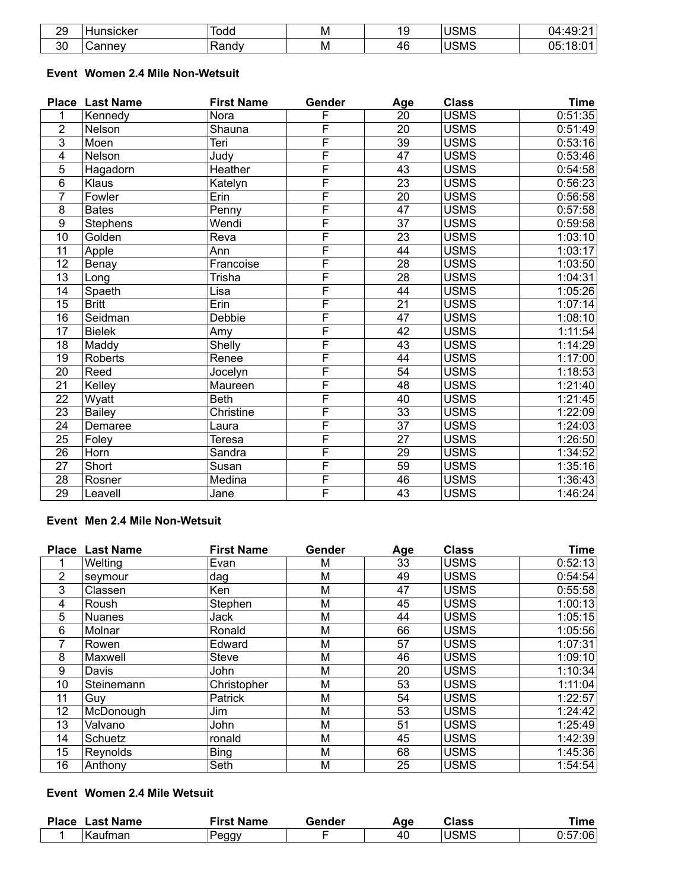| 20<br><u>_</u> | $\sim$ $\sim$ $\sim$<br>וסת | $\sim$<br>vuu             | M | . .<br>ı. | JSMS | $\sim$<br>. 12              |
|----------------|-----------------------------|---------------------------|---|-----------|------|-----------------------------|
| 30             |                             | سم س<br>יי י<br>. .un iur | м | 46        | JSMS | $\sim$ $\sim$<br>ገፍ・<br>۰п. |

### **Event Women 2.4 Mile Non-Wetsuit**

|                | <b>Place Last Name</b> | <b>First Name</b> | Gender                  | Age | <b>Class</b> | <b>Time</b> |
|----------------|------------------------|-------------------|-------------------------|-----|--------------|-------------|
|                | Kennedy                | Nora              | F                       | 20  | <b>USMS</b>  | 0:51:35     |
| $\overline{2}$ | Nelson                 | Shauna            | F                       | 20  | <b>USMS</b>  | 0:51:49     |
| 3              | Moen                   | Teri              | $\overline{\mathsf{F}}$ | 39  | <b>USMS</b>  | 0:53:16     |
| 4              | Nelson                 | Judv              | F                       | 47  | <b>USMS</b>  | 0:53:46     |
| 5              | Hagadorn               | Heather           | F                       | 43  | <b>USMS</b>  | 0:54:58     |
| 6              | Klaus                  | Katelyn           | F                       | 23  | <b>USMS</b>  | 0:56:23     |
| 7              | Fowler                 | Erin              | $\overline{\mathsf{F}}$ | 20  | <b>USMS</b>  | 0:56:58     |
| 8              | <b>Bates</b>           | Penny             | F                       | 47  | <b>USMS</b>  | 0:57:58     |
| 9              | <b>Stephens</b>        | Wendi             | F                       | 37  | <b>USMS</b>  | 0:59:58     |
| 10             | Golden                 | Reva              | F                       | 23  | <b>USMS</b>  | 1:03:10     |
| 11             | Apple                  | Ann               | F                       | 44  | <b>USMS</b>  | 1:03:17     |
| 12             | Benay                  | Francoise         | F                       | 28  | <b>USMS</b>  | 1:03:50     |
| 13             | Long                   | Trisha            | F                       | 28  | <b>USMS</b>  | 1:04:31     |
| 14             | Spaeth                 | Lisa              | F                       | 44  | <b>USMS</b>  | 1:05:26     |
| 15             | <b>Britt</b>           | Erin              | F                       | 21  | <b>USMS</b>  | 1:07:14     |
| 16             | Seidman                | Debbie            | F                       | 47  | <b>USMS</b>  | 1:08:10     |
| 17             | <b>Bielek</b>          | Amy               | F                       | 42  | <b>USMS</b>  | 1:11:54     |
| 18             | Maddy                  | Shelly            | F                       | 43  | <b>USMS</b>  | 1:14:29     |
| 19             | <b>Roberts</b>         | Renee             | F                       | 44  | <b>USMS</b>  | 1:17:00     |
| 20             | Reed                   | Jocelyn           | F                       | 54  | <b>USMS</b>  | 1:18:53     |
| 21             | Kelley                 | Maureen           | F                       | 48  | <b>USMS</b>  | 1:21:40     |
| 22             | Wyatt                  | <b>Beth</b>       | F                       | 40  | <b>USMS</b>  | 1:21:45     |
| 23             | <b>Bailey</b>          | Christine         | $\overline{\mathsf{F}}$ | 33  | <b>USMS</b>  | 1:22:09     |
| 24             | Demaree                | Laura             | $\overline{\mathsf{F}}$ | 37  | <b>USMS</b>  | 1:24:03     |
| 25             | Foley                  | Teresa            | F                       | 27  | <b>USMS</b>  | 1:26:50     |
| 26             | Horn                   | Sandra            | F                       | 29  | <b>USMS</b>  | 1:34:52     |
| 27             | Short                  | Susan             | F                       | 59  | <b>USMS</b>  | 1:35:16     |
| 28             | Rosner                 | Medina            | F                       | 46  | <b>USMS</b>  | 1:36:43     |
| 29             | Leavell                | Jane              | F                       | 43  | <b>USMS</b>  | 1:46:24     |

## **Event Men 2.4 Mile Non-Wetsuit**

|    | <b>Place Last Name</b> | <b>First Name</b> | Gender | Age | <b>Class</b> | <b>Time</b> |
|----|------------------------|-------------------|--------|-----|--------------|-------------|
|    | Welting                | Evan              | М      | 33  | <b>USMS</b>  | 0:52:13     |
| 2  | seymour                | dag               | M      | 49  | <b>USMS</b>  | 0:54:54     |
| 3  | Classen                | Ken               | М      | 47  | <b>USMS</b>  | 0:55:58     |
| 4  | Roush                  | Stephen           | M      | 45  | <b>USMS</b>  | 1:00:13     |
| 5  | <b>Nuanes</b>          | Jack              | M      | 44  | <b>USMS</b>  | 1:05:15     |
| 6  | Molnar                 | Ronald            | M      | 66  | <b>USMS</b>  | 1:05:56     |
| 7  | Rowen                  | Edward            | M      | 57  | <b>USMS</b>  | 1:07:31     |
| 8  | Maxwell                | <b>Steve</b>      | М      | 46  | <b>USMS</b>  | 1:09:10     |
| 9  | Davis                  | John              | M      | 20  | <b>USMS</b>  | 1:10:34     |
| 10 | Steinemann             | Christopher       | M      | 53  | <b>USMS</b>  | 1:11:04     |
| 11 | Guy                    | <b>Patrick</b>    | M      | 54  | <b>USMS</b>  | 1:22:57     |
| 12 | McDonough              | Jim               | M      | 53  | <b>USMS</b>  | 1:24:42     |
| 13 | Valvano                | John              | М      | 51  | <b>USMS</b>  | 1:25:49     |
| 14 | Schuetz                | ronald            | М      | 45  | <b>USMS</b>  | 1:42:39     |
| 15 | Reynolds               | <b>Bing</b>       | M      | 68  | <b>USMS</b>  | 1:45:36     |
| 16 | Anthony                | Seth              | M      | 25  | <b>USMS</b>  | 1:54:54     |

### **Event Women 2.4 Mile Wetsuit**

| <b>Place</b> | <b>Last Name</b> | First Name   | Gender | Aqe | Class | ™e      |
|--------------|------------------|--------------|--------|-----|-------|---------|
|              | 'Kaufman         | <u>Peggy</u> |        | 40  | ∣USMS | 0:57:06 |